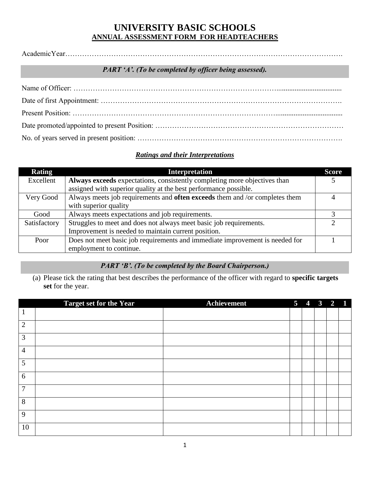# **UNIVERSITY BASIC SCHOOLS ANNUAL ASSESSMENT FORM FOR HEADTEACHERS**

AcademicYear…………………………………………………………………………………………………….

#### *PART 'A'. (To be completed by officer being assessed).*

#### *Ratings and their Interpretations*

| <b>Rating</b> | <b>Interpretation</b>                                                              | <b>Score</b> |
|---------------|------------------------------------------------------------------------------------|--------------|
| Excellent     | Always exceeds expectations, consistently completing more objectives than          |              |
|               | assigned with superior quality at the best performance possible.                   |              |
| Very Good     | Always meets job requirements and <b>often exceeds</b> them and /or completes them |              |
|               | with superior quality                                                              |              |
| Good          | Always meets expectations and job requirements.                                    |              |
| Satisfactory  | Struggles to meet and does not always meet basic job requirements.                 |              |
|               | Improvement is needed to maintain current position.                                |              |
| Poor          | Does not meet basic job requirements and immediate improvement is needed for       |              |
|               | employment to continue.                                                            |              |

## *PART 'B'. (To be completed by the Board Chairperson.)*

(a) Please tick the rating that best describes the performance of the officer with regard to **specific targets set** for the year.

|                | <b>Target set for the Year</b> | Achievement | 5 <sup>5</sup> | $\overline{4}$ | $\mathbf{3}$ | $2 \quad 1$ |
|----------------|--------------------------------|-------------|----------------|----------------|--------------|-------------|
| 1              |                                |             |                |                |              |             |
| $\overline{2}$ |                                |             |                |                |              |             |
| 3              |                                |             |                |                |              |             |
| $\overline{4}$ |                                |             |                |                |              |             |
| 5              |                                |             |                |                |              |             |
| 6              |                                |             |                |                |              |             |
| $\overline{7}$ |                                |             |                |                |              |             |
| 8              |                                |             |                |                |              |             |
| 9              |                                |             |                |                |              |             |
| 10             |                                |             |                |                |              |             |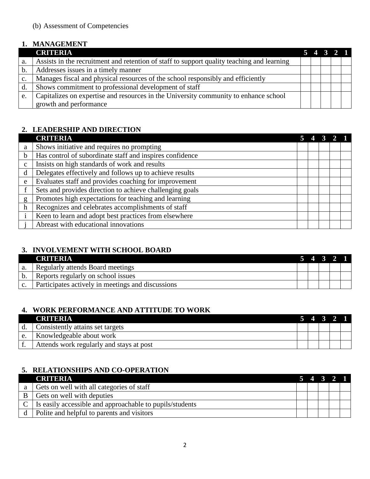## **1. MANAGEMENT**

|                | <b>CRITERIA</b>                                                                            | 5 4 3 2 1 |  |  |
|----------------|--------------------------------------------------------------------------------------------|-----------|--|--|
| a.             | Assists in the recruitment and retention of staff to support quality teaching and learning |           |  |  |
| b.             | Addresses issues in a timely manner                                                        |           |  |  |
| $\mathbf{c}$ . | Manages fiscal and physical resources of the school responsibly and efficiently            |           |  |  |
| $\mathbf{d}$   | Shows commitment to professional development of staff                                      |           |  |  |
| e.             | Capitalizes on expertise and resources in the University community to enhance school       |           |  |  |
|                | growth and performance                                                                     |           |  |  |

### **2. LEADERSHIP AND DIRECTION**

|              | <b>CRITERIA</b>                                          |  |  |  |
|--------------|----------------------------------------------------------|--|--|--|
| a            | Shows initiative and requires no prompting               |  |  |  |
| b            | Has control of subordinate staff and inspires confidence |  |  |  |
| $\mathbf{c}$ | Insists on high standards of work and results            |  |  |  |
| d            | Delegates effectively and follows up to achieve results  |  |  |  |
| e            | Evaluates staff and provides coaching for improvement    |  |  |  |
|              | Sets and provides direction to achieve challenging goals |  |  |  |
| g            | Promotes high expectations for teaching and learning     |  |  |  |
| h            | Recognizes and celebrates accomplishments of staff       |  |  |  |
|              | Keen to learn and adopt best practices from elsewhere    |  |  |  |
|              | Abreast with educational innovations                     |  |  |  |

### **3. INVOLVEMENT WITH SCHOOL BOARD**

|    | <b>CRITERIA</b>                                   |  | 5 4 3 2 |  |
|----|---------------------------------------------------|--|---------|--|
| a. | Regularly attends Board meetings                  |  |         |  |
|    | Reports regularly on school issues                |  |         |  |
|    | Participates actively in meetings and discussions |  |         |  |

### **4. WORK PERFORMANCE AND ATTITUDE TO WORK**

|    | CRITERIA                                 |  | 4 3 2 1 |  |
|----|------------------------------------------|--|---------|--|
| d. | Consistently attains set targets         |  |         |  |
|    | Knowledgeable about work                 |  |         |  |
|    | Attends work regularly and stays at post |  |         |  |

### **5. RELATIONSHIPS AND CO-OPERATION**

|              | <b>CRITERIA</b>                                                   |  | 5 4 3 2 1 |  |
|--------------|-------------------------------------------------------------------|--|-----------|--|
| a            | Gets on well with all categories of staff                         |  |           |  |
| <sup>B</sup> | Gets on well with deputies                                        |  |           |  |
|              | $C \mid$ Is easily accessible and approachable to pupils/students |  |           |  |
|              | Polite and helpful to parents and visitors                        |  |           |  |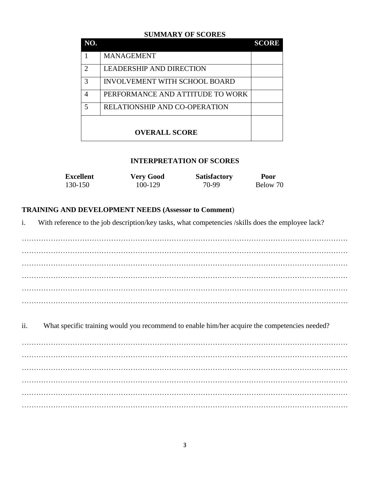#### **SUMMARY OF SCORES**

| NO.                         |                                      | <b>SCORE</b> |
|-----------------------------|--------------------------------------|--------------|
|                             | <b>MANAGEMENT</b>                    |              |
| $\mathcal{D}_{\mathcal{L}}$ | <b>LEADERSHIP AND DIRECTION</b>      |              |
| 3                           | <b>INVOLVEMENT WITH SCHOOL BOARD</b> |              |
| 4                           | PERFORMANCE AND ATTITUDE TO WORK     |              |
| 5                           | <b>RELATIONSHIP AND CO-OPERATION</b> |              |
|                             | <b>OVERALL SCORE</b>                 |              |

#### **INTERPRETATION OF SCORES**

| <b>Excellent</b> | <b>Very Good</b> | <b>Satisfactory</b> | Poor     |
|------------------|------------------|---------------------|----------|
| 130-150          | 100-129          | 70-99               | Below 70 |

#### **TRAINING AND DEVELOPMENT NEEDS (Assessor to Comment**)

i. With reference to the job description/key tasks, what competencies /skills does the employee lack?

……………………………………………………………………………………………………………………… ……………………………………………………………………………………………………………………… ……………………………………………………………………………………………………………………… ……………………………………………………………………………………………………………………… ……………………………………………………………………………………………………………………… ………………………………………………………………………………………………………………………

ii. What specific training would you recommend to enable him/her acquire the competencies needed? ……………………………………………………………………………………………………………………… ……………………………………………………………………………………………………………………… ……………………………………………………………………………………………………………………… ……………………………………………………………………………………………………………………… ……………………………………………………………………………………………………………………… ………………………………………………………………………………………………………………………